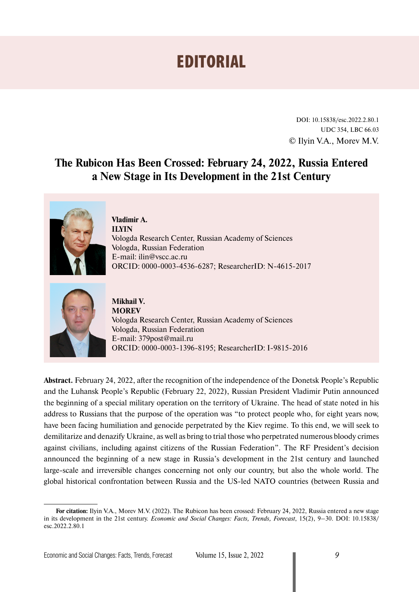## EDITORIAL

DOI: 10.15838/esc.2022.2.80.1 UDC 354, LBC 66.03 © Ilyin V.A., Morev M.V.

## **The Rubicon Has Been Crossed: February 24, 2022, Russia Entered a New Stage in Its Development in the 21st Century**



**Vladimir A. ILYIN** Vologda Research Center, Russian Academy of Sciences Vologda, Russian Federation E-mail: ilin@vscc.ac.ru ORCID: [0000-0003-4536-6287](http://orcid.org/0000-0003-4536-6287); ResearcherID: [N-4615-2017](https://publons.com/researcher/2064396/vladimir-ilyin/)



**Mikhail V. MOREV** Vologda Research Center, Russian Academy of Sciences Vologda, Russian Federation E-mail: 379post@mail.ru ORCID: [0000-0003-1396-8195](http://orcid.org/0000-0003-1396-8195); ResearcherID: [I-9815-2016](http://www.researcherid.com/rid/I-9815-2016)

**Abstract.** February 24, 2022, after the recognition of the independence of the Donetsk People's Republic and the Luhansk People's Republic (February 22, 2022), Russian President Vladimir Putin announced the beginning of a special military operation on the territory of Ukraine. The head of state noted in his address to Russians that the purpose of the operation was "to protect people who, for eight years now, have been facing humiliation and genocide perpetrated by the Kiev regime. To this end, we will seek to demilitarize and denazify Ukraine, as well as bring to trial those who perpetrated numerous bloody crimes against civilians, including against citizens of the Russian Federation". The RF President's decision announced the beginning of a new stage in Russia's development in the 21st century and launched large-scale and irreversible changes concerning not only our country, but also the whole world. The global historical confrontation between Russia and the US-led NATO countries (between Russia and

**For citation:** Ilyin V.A., Morev M.V. (2022). The Rubicon has been crossed: February 24, 2022, Russia entered a new stage in its development in the 21st century. *Economic and Social Changes: Facts, Trends, Forecast*, 15(2), 9–30. DOI: 10.15838/ esc.2022.2.80.1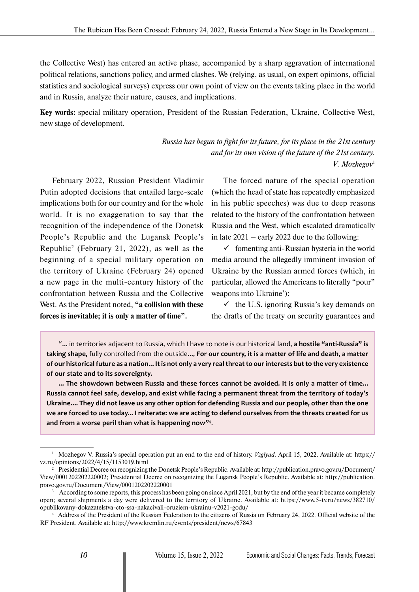the Collective West) has entered an active phase, accompanied by a sharp aggravation of international political relations, sanctions policy, and armed clashes. We (relying, as usual, on expert opinions, official statistics and sociological surveys) express our own point of view on the events taking place in the world and in Russia, analyze their nature, causes, and implications.

**Key words:** special military operation, President of the Russian Federation, Ukraine, Collective West, new stage of development.

> *Russia has begun to fight for its future, for its place in the 21st century and for its own vision of the future of the 21st century. V. Mozhegov*1

February 2022, Russian President Vladimir Putin adopted decisions that entailed large-scale implications both for our country and for the whole world. It is no exaggeration to say that the recognition of the independence of the Donetsk People's Republic and the Lugansk People's Republic2 (February 21, 2022), as well as the beginning of a special military operation on the territory of Ukraine (February 24) opened a new page in the multi-century history of the confrontation between Russia and the Collective West. As the President noted, **"a collision with these forces is inevitable; it is only a matter of time".**

The forced nature of the special operation (which the head of state has repeatedly emphasized in his public speeches) was due to deep reasons related to the history of the confrontation between Russia and the West, which escalated dramatically in late 2021 – early 2022 due to the following:

 $\checkmark$  fomenting anti-Russian hysteria in the world media around the allegedly imminent invasion of Ukraine by the Russian armed forces (which, in particular, allowed the Americans to literally "pour" weapons into Ukraine<sup>3</sup>);

 $\checkmark$  the U.S. ignoring Russia's key demands on the drafts of the treaty on security guarantees and

"... in territories adjacent to Russia, which I have to note is our historical land, **a hostile "anti-Russia" is taking shape,** fully controlled from the outside..., **For our country, it is a matter of life and death, a matter of our historical future as a nation... It is not only a very real threat to our interests but to the very existence of our state and to its sovereignty.**

**... The showdown between Russia and these forces cannot be avoided. It is only a matter of time... Russia cannot feel safe, develop, and exist while facing a permanent threat from the territory of today's Ukraine.... They did not leave us any other option for defending Russia and our people, other than the one we are forced to use today... I reiterate: we are acting to defend ourselves from the threats created for us and from a worse peril than what is happening now"**<sup>4</sup> .

<sup>1</sup> Mozhegov V. Russia's special operation put an end to the end of history. *Vzglyad.* April 15, 2022. Available at: https:// vz.ru/opinions/2022/4/15/1153019.html

<sup>2</sup> Presidential Decree on recognizing the Donetsk People's Republic. Available at: http://publication.pravo.gov.ru/Document/ View/0001202202220002; Presidential Decree on recognizing the Lugansk People's Republic. Available at: http://publication. pravo.gov.ru/Document/View/0001202202220001

<sup>&</sup>lt;sup>3</sup> According to some reports, this process has been going on since April 2021, but by the end of the year it became completely open; several shipments a day were delivered to the territory of Ukraine. Available at: https://www.5-tv.ru/news/382710/ opublikovany-dokazatelstva-cto-ssa-nakacivali-oruziem-ukrainu-v2021-godu/

<sup>4</sup> Address of the President of the Russian Federation to the citizens of Russia on February 24, 2022. Official website of the RF President. Available at: http://www.kremlin.ru/events/president/news/67843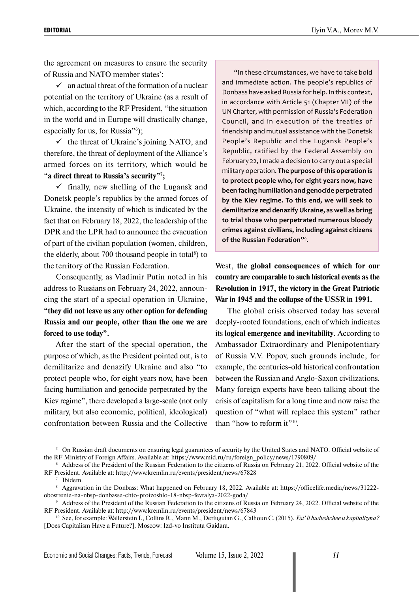the agreement on measures to ensure the security of Russia and NATO member states<sup>5</sup>;

 $\checkmark$  an actual threat of the formation of a nuclear potential on the territory of Ukraine (as a result of which, according to the RF President, "the situation in the world and in Europe will drastically change, especially for us, for Russia"<sup>6</sup>);

 $\checkmark$  the threat of Ukraine's joining NATO, and therefore, the threat of deployment of the Alliance's armed forces on its territory, which would be "**a direct threat to Russia's security"7 ;**

 $\checkmark$  finally, new shelling of the Lugansk and Donetsk people's republics by the armed forces of Ukraine, the intensity of which is indicated by the fact that on February 18, 2022, the leadership of the DPR and the LPR had to announce the evacuation of part of the civilian population (women, children, the elderly, about  $700$  thousand people in total $\delta$ ) to the territory of the Russian Federation.

Consequently, as Vladimir Putin noted in his address to Russians on February 24, 2022, announcing the start of a special operation in Ukraine, **"they did not leave us any other option for defending Russia and our people, other than the one we are forced to use today".**

After the start of the special operation, the purpose of which, as the President pointed out, is to demilitarize and denazify Ukraine and also "to protect people who, for eight years now, have been facing humiliation and genocide perpetrated by the Kiev regime", there developed a large-scale (not only military, but also economic, political, ideological) confrontation between Russia and the Collective

"In these circumstances, we have to take bold and immediate action. The people's republics of Donbass have asked Russia for help. In this context, in accordance with Article 51 (Chapter VII) of the UN Charter, with permission of Russia's Federation Council, and in execution of the treaties of friendship and mutual assistance with the Donetsk People's Republic and the Lugansk People's Republic, ratified by the Federal Assembly on February 22, I made a decision to carry out a special military operation. **The purpose of this operation is to protect people who, for eight years now, have been facing humiliation and genocide perpetrated by the Kiev regime. To this end, we will seek to demilitarize and denazify Ukraine, as well as bring to trial those who perpetrated numerous bloody crimes against civilians, including against citizens of the Russian Federation"**<sup>9</sup> .

West, **the global consequences of which for our country are comparable to such historical events as the Revolution in 1917, the victory in the Great Patriotic War in 1945 and the collapse of the USSR in 1991.**

The global crisis observed today has several deeply-rooted foundations, each of which indicates its **logical emergence and inevitability**. According to Ambassador Extraordinary and Plenipotentiary of Russia V.V. Popov, such grounds include, for example, the centuries-old historical confrontation between the Russian and Anglo-Saxon civilizations. Many foreign experts have been talking about the crisis of capitalism for a long time and now raise the question of "what will replace this system" rather than "how to reform it"<sup>10</sup>.

<sup>&</sup>lt;sup>5</sup> On Russian draft documents on ensuring legal guarantees of security by the United States and NATO. Official website of the RF Ministry of Foreign Affairs. Available at: https://www.mid.ru/ru/foreign\_policy/news/1790809/

<sup>6</sup> Address of the President of the Russian Federation to the citizens of Russia on February 21, 2022. Official website of the RF President. Available at: http://www.kremlin.ru/events/president/news/67828

<sup>7</sup> Ibidem.

<sup>&</sup>lt;sup>8</sup> Aggravation in the Donbass: What happened on February 18, 2022. Available at: https://officelife.media/news/31222obostrenie-na-nbsp-donbasse-chto-proizoshlo-18-nbsp-fevralya-2022-goda/

<sup>&</sup>lt;sup>9</sup> Address of the President of the Russian Federation to the citizens of Russia on February 24, 2022. Official website of the RF President. Available at: http://www.kremlin.ru/events/president/news/67843

<sup>10</sup> See, for example: Wallerstein I., Collins R., Mann M., Derluguian G., Calhoun C. (2015). *Est' li budushchee u kapitalizma?*  [Does Capitalism Have a Future?]. Мoscow: Izd-vo Instituta Gaidara.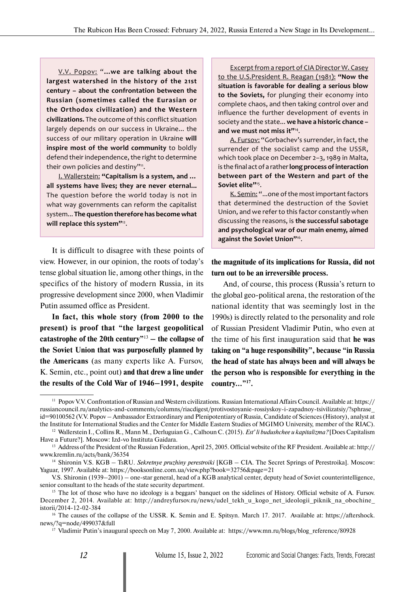V.V. Popov: "**...we are talking about the largest watershed in the history of the 21st century – about the confrontation between the Russian (sometimes called the Eurasian or the Orthodox civilization) and the Western civilizations.** The outcome of this conflict situation largely depends on our success in Ukraine... the success of our military operation in Ukraine **will inspire most of the world community** to boldly defend their independence, the right to determine their own policies and destiny"<sup>11</sup>.

I. Wallerstein: **"Capitalism is a system, and … all systems have lives; they are never eternal...** The question before the world today is not in what way governments can reform the capitalist system... **The question therefore has become what will replace this system"**12.

It is difficult to disagree with these points of view. However, in our opinion, the roots of today's tense global situation lie, among other things, in the specifics of the history of modern Russia, in its progressive development since 2000, when Vladimir Putin assumed office as President.

**In fact, this whole story (from 2000 to the present) is proof that "the largest geopolitical catastrophe of the 20th century"**13 **– the collapse of the Soviet Union that was purposefully planned by the Americans** (as many experts like A. Fursov, K. Semin, etc., point out) **and that drew a line under the results of the Cold War of 1946–1991, despite** 

Excerpt from a report of CIA Director W. Casey to the U.S.President R. Reagan (1981): **"Now the situation is favorable for dealing a serious blow to the Soviets,** for plunging their economy into complete chaos, and then taking control over and influence the further development of events in society and the state... **we have a historic chance – and we must not miss it"**14.

A. Fursov: "Gorbachev's surrender, in fact, the surrender of the socialist camp and the USSR, which took place on December 2–3, 1989 in Malta, is the final act of a rather **long process of interaction between part of the Western and part of the Soviet elite"**15.

K. Semin: "...one of the most important factors that determined the destruction of the Soviet Union, and we refer to this factor constantly when discussing the reasons, is **the successful sabotage and psychological war of our main enemy, aimed against the Soviet Union"**16.

**the magnitude of its implications for Russia, did not turn out to be an irreversible process.**

And, of course, this process (Russia's return to the global geo-political arena, the restoration of the national identity that was seemingly lost in the 1990s) is directly related to the personality and role of Russian President Vladimir Putin, who even at the time of his first inauguration said that **he was taking on "a huge responsibility", because "in Russia the head of state has always been and will always be the person who is responsible for everything in the country..."17.**

<sup>11</sup> Popov V.V. Confrontation of Russian and Western civilizations. Russian International Affairs Council. Available at: https:// russiancouncil.ru/analytics-and-comments/columns/riacdigest/protivostoyanie-rossiyskoy-i-zapadnoy-tsivilizatsiy/?sphrase\_ id=90100562 (V.V. Popov – Ambassador Extraordinary and Plenipotentiary of Russia, Candidate of Sciences (History), analyst at the Institute for International Studies and the Center for Middle Eastern Studies of MGIMO University, member of the RIAC).

<sup>12</sup> Wallerstein I., Collins R., Mann M., Derluguian G., Calhoun C. (2015). *Est' li budushchee u kapitalizma?* [Does Capitalism Have a Future?]. Мoscow: Izd-vo Instituta Gaidara.

<sup>&</sup>lt;sup>13</sup> Address of the President of the Russian Federation, April 25, 2005. Official website of the RF President. Available at: http:// www.kremlin.ru/acts/bank/36354

<sup>14</sup> Shironin V.S. KGB – TsRU. *Sekretnye pruzhiny perestroiki* [KGB – CIA. The Secret Springs of Perestroika]. Moscow: Yaguar, 1997. Available at: https://booksonline.com.ua/view.php?book=32756&page=21

V.S. Shironin (1939–2001) – one-star general, head of a KGB analytical center, deputy head of Soviet counterintelligence, senior consultant to the heads of the state security department.

<sup>&</sup>lt;sup>15</sup> The lot of those who have no ideology is a beggars' banquet on the sidelines of History. Official website of A. Fursov. December 2, 2014. Available at: http://andreyfursov.ru/news/udel\_tekh\_u\_kogo\_net\_ideologii\_piknik\_na\_obochine istorii/2014-12-02-384

<sup>&</sup>lt;sup>16</sup> The causes of the collapse of the USSR. K. Semin and E. Spitsyn. March 17. 2017. Available at: https://aftershock. news/?q=node/499037&full

<sup>&</sup>lt;sup>17</sup> Vladimir Putin's inaugural speech on May 7, 2000. Available at: https://www.mn.ru/blogs/blog\_reference/80928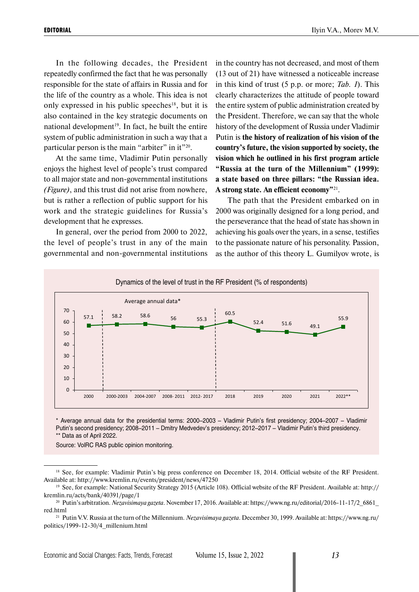In the following decades, the President repeatedly confirmed the fact that he was personally responsible for the state of affairs in Russia and for the life of the country as a whole. This idea is not only expressed in his public speeches<sup>18</sup>, but it is also contained in the key strategic documents on national development<sup>19</sup>. In fact, he built the entire system of public administration in such a way that a particular person is the main "arbiter" in it"20.

At the same time, Vladimir Putin personally enjoys the highest level of people's trust compared to all major state and non-governmental institutions *(Figure)*, and this trust did not arise from nowhere, but is rather a reflection of public support for his work and the strategic guidelines for Russia's development that he expresses.

In general, over the period from 2000 to 2022, the level of people's trust in any of the main governmental and non-governmental institutions in the country has not decreased, and most of them (13 out of 21) have witnessed a noticeable increase in this kind of trust (5 p.p. or more; *Tab. 1*). This clearly characterizes the attitude of people toward the entire system of public administration created by the President. Therefore, we can say that the whole history of the development of Russia under Vladimir Putin is **the history of realization of his vision of the country's future, the vision supported by society, the vision which he outlined in his first program article "Russia at the turn of the Millennium" (1999): a state based on three pillars: "the Russian idea. A strong state. An efficient economy"**21.

The path that the President embarked on in 2000 was originally designed for a long period, and the perseverance that the head of state has shown in achieving his goals over the years, in a sense, testifies to the passionate nature of his personality. Passion, as the author of this theory L. Gumilyov wrote, is



\* Average annual data for the presidential terms: 2000–2003 – Vladimir Putin's first presidency; 2004–2007 – Vladimir Putin's second presidency; 2008–2011 – Dmitry Medvedev's presidency; 2012–2017 – Vladimir Putin's third presidency. \*\* Data as of April 2022.

Source: VolRC RAS public opinion monitoring.

<sup>&</sup>lt;sup>18</sup> See, for example: Vladimir Putin's big press conference on December 18, 2014. Official website of the RF President. Available at: http://www.kremlin.ru/events/president/news/47250

<sup>19</sup> See, for example: National Security Strategy 2015 (Article 108). Official website of the RF President. Available at: http:// kremlin.ru/acts/bank/40391/page/1

<sup>&</sup>lt;sup>20</sup> Putin's arbitration. *Nezavisimaya gazeta*. November 17, 2016. Available at: https://www.ng.ru/editorial/2016-11-17/2\_6861 red.html

<sup>21</sup> Putin V.V. Russia at the turn of the Millennium. *Nezavisimaya gazeta*. December 30, 1999. Available at: https://www.ng.ru/ politics/1999-12-30/4\_millenium.html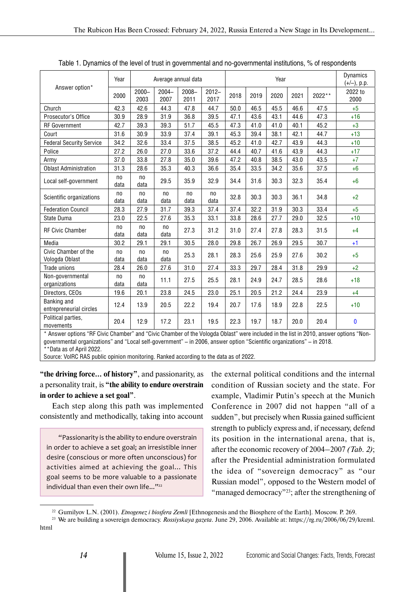|                                        | Year                   |                        | Average annual data    |                  |                  |      |      | Year |      |        | <b>Dynamics</b><br>$(+/-)$ , p.p. |
|----------------------------------------|------------------------|------------------------|------------------------|------------------|------------------|------|------|------|------|--------|-----------------------------------|
| Answer option*                         | 2000                   | $2000 -$<br>2003       | $2004 -$<br>2007       | $2008 -$<br>2011 | $2012 -$<br>2017 | 2018 | 2019 | 2020 | 2021 | 2022** | 2022 to<br>2000                   |
| Church                                 | 42.3                   | 42.6                   | 44.3                   | 47.8             | 44.7             | 50.0 | 46.5 | 45.5 | 46.6 | 47.5   | $+5$                              |
| Prosecutor's Office                    | 30.9                   | 28.9                   | 31.9                   | 36.8             | 39.5             | 47.1 | 43.6 | 43.1 | 44.6 | 47.3   | $+16$                             |
| <b>RF</b> Government                   | 42.7                   | 39.3                   | 39.3                   | 51.7             | 45.5             | 47.3 | 41.0 | 41.0 | 40.1 | 45.2   | $+3$                              |
| Court                                  | 31.6                   | 30.9                   | 33.9                   | 37.4             | 39.1             | 45.3 | 39.4 | 38.1 | 42.1 | 44.7   | $+13$                             |
| <b>Federal Security Service</b>        | 34.2                   | 32.6                   | 33.4                   | 37.5             | 38.5             | 45.2 | 41.0 | 42.7 | 43.9 | 44.3   | $+10$                             |
| Police                                 | 27.2                   | 26.0                   | 27.0                   | 33.6             | 37.2             | 44.4 | 40.7 | 41.6 | 43.9 | 44.3   | $+17$                             |
| Army                                   | 37.0                   | 33.8                   | 27.8                   | 35.0             | 39.6             | 47.2 | 40.8 | 38.5 | 43.0 | 43.5   | $+7$                              |
| <b>Oblast Administration</b>           | 31.3                   | 28.6                   | 35.3                   | 40.3             | 36.6             | 35.4 | 33.5 | 34.2 | 35.6 | 37.5   | $+6$                              |
| Local self-government                  | no<br>data             | n <sub>0</sub><br>data | 29.5                   | 35.9             | 32.9             | 34.4 | 31.6 | 30.3 | 32.3 | 35.4   | $+6$                              |
| Scientific organizations               | n <sub>0</sub><br>data | n <sub>0</sub><br>data | n <sub>0</sub><br>data | no<br>data       | no<br>data       | 32.8 | 30.3 | 30.3 | 36.1 | 34.8   | $+2$                              |
| <b>Federation Council</b>              | 28.3                   | 27.9                   | 31.7                   | 39.3             | 37.4             | 37.4 | 32.2 | 31.9 | 30.3 | 33.4   | $+5$                              |
| State Duma                             | 23.0                   | 22.5                   | 27.6                   | 35.3             | 33.1             | 33.8 | 28.6 | 27.7 | 29.0 | 32.5   | $+10$                             |
| <b>RF Civic Chamber</b>                | n <sub>0</sub><br>data | no<br>data             | n <sub>0</sub><br>data | 27.3             | 31.2             | 31.0 | 27.4 | 27.8 | 28.3 | 31.5   | $+4$                              |
| Media                                  | 30.2                   | 29.1                   | 29.1                   | 30.5             | 28.0             | 29.8 | 26.7 | 26.9 | 29.5 | 30.7   | $+1$                              |
| Civic Chamber of the<br>Vologda Oblast | no<br>data             | n <sub>o</sub><br>data | n <sub>0</sub><br>data | 25.3             | 28.1             | 28.3 | 25.6 | 25.9 | 27.6 | 30.2   | $+5$                              |
| Trade unions                           | 28.4                   | 26.0                   | 27.6                   | 31.0             | 27.4             | 33.3 | 29.7 | 28.4 | 31.8 | 29.9   | $+2$                              |
| Non-governmental<br>organizations      | n <sub>0</sub><br>data | n <sub>0</sub><br>data | 11.1                   | 27.5             | 25.5             | 28.1 | 24.9 | 24.7 | 28.5 | 28.6   | $+18$                             |
| Directors, CEOs                        | 19.6                   | 20.1                   | 23.8                   | 24.5             | 23.0             | 25.1 | 20.5 | 21.2 | 24.4 | 23.9   | $+4$                              |
| Banking and<br>entrepreneurial circles | 12.4                   | 13.9                   | 20.5                   | 22.2             | 19.4             | 20.7 | 17.6 | 18.9 | 22.8 | 22.5   | $+10$                             |
| Political parties,<br>movements        | 20.4                   | 12.9                   | 17.2                   | 23.1             | 19.5             | 22.3 | 19.7 | 18.7 | 20.0 | 20.4   | $\bf{0}$                          |

Table 1. Dynamics of the level of trust in governmental and no-governmental institutions, % of respondents

\* Answer options "RF Civic Chamber" and "Civic Chamber of the Vologda Oblast" were included in the list in 2010, answer options "Nongovernmental organizations" and "Local self-government" – in 2006, answer option "Scientific organizations" – in 2018.

\*\*Data as of April 2022.

Source: VolRC RAS public opinion monitoring. Ranked according to the data as of 2022.

**"the driving force... of history"**, and passionarity, as a personality trait, is **"the ability to endure overstrain in order to achieve a set goal"**.

Each step along this path was implemented consistently and methodically, taking into account

"Passionarity is the ability to endure overstrain in order to achieve a set goal; an irresistible inner desire (conscious or more often unconscious) for activities aimed at achieving the goal... This goal seems to be more valuable to a passionate individual than even their own life..."<sup>22</sup>

the external political conditions and the internal condition of Russian society and the state. For example, Vladimir Putin's speech at the Munich Conference in 2007 did not happen "all of a sudden", but precisely when Russia gained sufficient strength to publicly express and, if necessary, defend its position in the international arena, that is, after the economic recovery of 2004–2007 *(Tab. 2)*; after the Presidential administration formulated the idea of "sovereign democracy" as "our Russian model", opposed to the Western model of "managed democracy"<sup>23</sup>; after the strengthening of

<sup>22</sup> Gumilyov L.N. (2001). *Etnogenez i biosfera Zemli* [Ethnogenesis and the Biosphere of the Earth]. Moscow. P. 269.

<sup>23</sup> We are building a sovereign democracy. *Rossiyskaya gazeta*. June 29, 2006. Available at: https://rg.ru/2006/06/29/kreml. html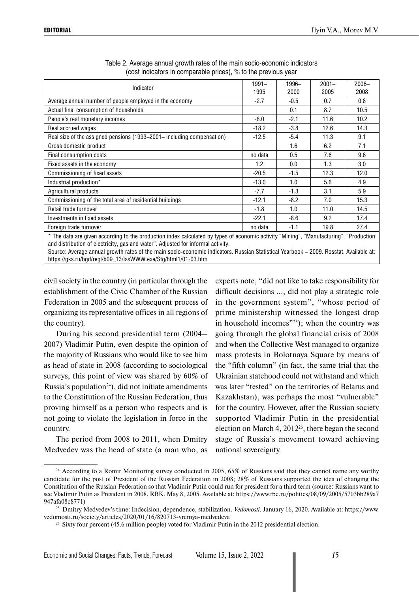|                                                                                                                                        | $1991 -$ | 1996-  | $2001 -$ | $2006 -$ |
|----------------------------------------------------------------------------------------------------------------------------------------|----------|--------|----------|----------|
| Indicator                                                                                                                              | 1995     | 2000   | 2005     | 2008     |
| Average annual number of people employed in the economy                                                                                | $-2.7$   | $-0.5$ | 0.7      | 0.8      |
| Actual final consumption of households                                                                                                 |          | 0.1    | 8.7      | 10.5     |
| People's real monetary incomes                                                                                                         | $-8.0$   | $-2.1$ | 11.6     | 10.2     |
| Real accrued wages                                                                                                                     | $-18.2$  | $-3.8$ | 12.6     | 14.3     |
| Real size of the assigned pensions (1993–2001– including compensation)                                                                 | $-12.5$  | $-5.4$ | 11.3     | 9.1      |
| Gross domestic product                                                                                                                 |          | 1.6    | 6.2      | 7.1      |
| Final consumption costs                                                                                                                | no data  | 0.5    | 7.6      | 9.6      |
| Fixed assets in the economy                                                                                                            | 1.2      | 0.0    | 1.3      | 3.0      |
| Commissioning of fixed assets                                                                                                          | $-20.5$  | $-1.5$ | 12.3     | 12.0     |
| Industrial production*                                                                                                                 | $-13.0$  | 1.0    | 5.6      | 4.9      |
| Agricultural products                                                                                                                  | $-7.7$   | $-1.3$ | 3.1      | 5.9      |
| Commissioning of the total area of residential buildings                                                                               | $-12.1$  | $-8.2$ | 7.0      | 15.3     |
| Retail trade turnover                                                                                                                  | $-1.8$   | 1.0    | 11.0     | 14.5     |
| Investments in fixed assets                                                                                                            | $-22.1$  | $-8.6$ | 9.2      | 17.4     |
| Foreign trade turnover                                                                                                                 | no data  | $-1.1$ | 19.8     | 27.4     |
| * The data are given according to the production index calculated by types of economic activity "Mining", "Manufacturing", "Production |          |        |          |          |

| Table 2. Average annual growth rates of the main socio-economic indicators |
|----------------------------------------------------------------------------|
| (cost indicators in comparable prices), % to the previous year             |

and distribution of electricity, gas and water". Adjusted for informal activity.

Source: Average annual growth rates of the main socio-economic indicators. Russian Statistical Yearbook – 2009. Rosstat. Available at: https://gks.ru/bgd/regl/b09\_13/IssWWW.exe/Stg/html1/01-03.htm

civil society in the country (in particular through the establishment of the Civic Chamber of the Russian Federation in 2005 and the subsequent process of organizing its representative offices in all regions of the country).

During his second presidential term (2004– 2007) Vladimir Putin, even despite the opinion of the majority of Russians who would like to see him as head of state in 2008 (according to sociological surveys, this point of view was shared by 60% of Russia's population<sup>24</sup>), did not initiate amendments to the Constitution of the Russian Federation, thus proving himself as a person who respects and is not going to violate the legislation in force in the country.

The period from 2008 to 2011, when Dmitry Medvedev was the head of state (a man who, as experts note, "did not like to take responsibility for difficult decisions ..., did not play a strategic role in the government system", "whose period of prime ministership witnessed the longest drop in household incomes"<sup>25</sup>); when the country was going through the global financial crisis of 2008 and when the Collective West managed to organize mass protests in Bolotnaya Square by means of the "fifth column" (in fact, the same trial that the Ukrainian statehood could not withstand and which was later "tested" on the territories of Belarus and Kazakhstan), was perhaps the most "vulnerable" for the country. However, after the Russian society supported Vladimir Putin in the presidential election on March 4, 201226, there began the second stage of Russia's movement toward achieving national sovereignty.

<sup>&</sup>lt;sup>24</sup> According to a Romir Monitoring survey conducted in 2005, 65% of Russians said that they cannot name any worthy candidate for the post of President of the Russian Federation in 2008; 28% of Russians supported the idea of changing the Constitution of the Russian Federation so that Vladimir Putin could run for president for a third term (source: Russians want to see Vladimir Putin as President in 2008. RBK. May 8, 2005. Available at: https://www.rbc.ru/politics/08/09/2005/5703bb289a7 947afa08c8771)

<sup>25</sup> Dmitry Medvedev's time: Indecision, dependence, stabilization. *Vedomosti.* January 16, 2020. Available at: https://www. vedomosti.ru/society/articles/2020/01/16/820713-vremya-medvedeva

<sup>&</sup>lt;sup>26</sup> Sixty four percent (45.6 million people) voted for Vladimir Putin in the 2012 presidential election.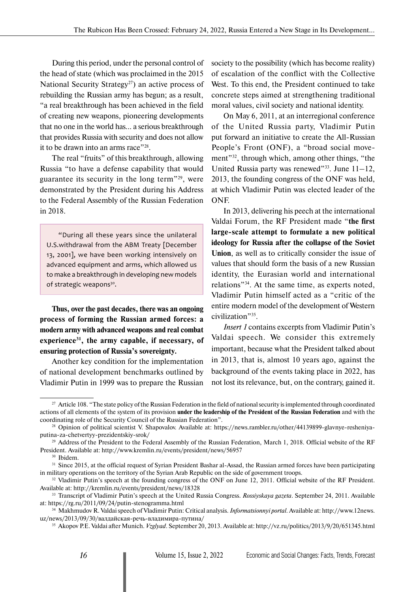During this period, under the personal control of the head of state (which was proclaimed in the 2015 National Security Strategy<sup>27</sup>) an active process of rebuilding the Russian army has begun; as a result, "a real breakthrough has been achieved in the field of creating new weapons, pioneering developments that no one in the world has... a serious breakthrough that provides Russia with security and does not allow it to be drawn into an arms race"28.

The real "fruits" of this breakthrough, allowing Russia "to have a defense capability that would guarantee its security in the long term"29, were demonstrated by the President during his Address to the Federal Assembly of the Russian Federation in 2018.

"During all these years since the unilateral U.S.withdrawal from the ABM Treaty [December 13, 2001], we have been working intensively on advanced equipment and arms, which allowed us to make a breakthrough in developing new models of strategic weapons<sup>30</sup>.

**Thus, over the past decades, there was an ongoing process of forming the Russian armed forces: a modern army with advanced weapons and real combat experience31, the army capable, if necessary, of ensuring protection of Russia's sovereignty.**

Another key condition for the implementation of national development benchmarks outlined by Vladimir Putin in 1999 was to prepare the Russian society to the possibility (which has become reality) of escalation of the conflict with the Collective West. To this end, the President continued to take concrete steps aimed at strengthening traditional moral values, civil society and national identity.

On May 6, 2011, at an interregional conference of the United Russia party, Vladimir Putin put forward an initiative to create the All-Russian People's Front (ONF), a "broad social movement"32, through which, among other things, "the United Russia party was renewed"<sup>33</sup>. June  $11-12$ , 2013, the founding congress of the ONF was held, at which Vladimir Putin was elected leader of the ONF.

In 2013, delivering his peech at the international Valdai Forum, the RF President made "**the first large-scale attempt to formulate a new political ideology for Russia after the collapse of the Soviet Union**, as well as to critically consider the issue of values that should form the basis of a new Russian identity, the Eurasian world and international relations"34. At the same time, as experts noted, Vladimir Putin himself acted as a "critic of the entire modern model of the development of Western civilization"35.

*Insert 1* contains excerpts from Vladimir Putin's Valdai speech. We consider this extremely important, because what the President talked about in 2013, that is, almost 10 years ago, against the background of the events taking place in 2022, has not lost its relevance, but, on the contrary, gained it.

<sup>30</sup> Ibidem.

<sup>&</sup>lt;sup>27</sup> Article 108. "The state policy of the Russian Federation in the field of national security is implemented through coordinated actions of all elements of the system of its provision **under the leadership of the President of the Russian Federation** and with the coordinating role of the Security Council of the Russian Federation".

<sup>28</sup> Opinion of political scientist V. Shapovalov. Available at: https://news.rambler.ru/other/44139899-glavnye-resheniyaputina-za-chetvertyy-prezidentskiy-srok/

<sup>&</sup>lt;sup>29</sup> Address of the President to the Federal Assembly of the Russian Federation, March 1, 2018. Official website of the RF President. Available at: http://www.kremlin.ru/events/president/news/56957

<sup>&</sup>lt;sup>31</sup> Since 2015, at the official request of Syrian President Bashar al-Assad, the Russian armed forces have been participating in military operations on the territory of the Syrian Arab Republic on the side of government troops.

<sup>&</sup>lt;sup>32</sup> Vladimir Putin's speech at the founding congress of the ONF on June 12, 2011. Official website of the RF President. Available at: http://kremlin.ru/events/president/news/18328

<sup>33</sup> Transcript of Vladimir Putin's speech at the United Russia Congress. *Rossiyskaya gazeta*. September 24, 2011. Available at: https://rg.ru/2011/09/24/putin-stenogramma.html

<sup>34</sup> Makhmudov R. Valdai speech of Vladimir Putin: Critical analysis. *Informatsionnyi portal.* Available at: http://www.12news. uz/news/2013/09/30/валдайская-речь-владимира-путина/

<sup>35</sup> Akopov P.E. Valdai after Munich. *Vzglyad*. September 20, 2013. Available at: http://vz.ru/politics/2013/9/20/651345.html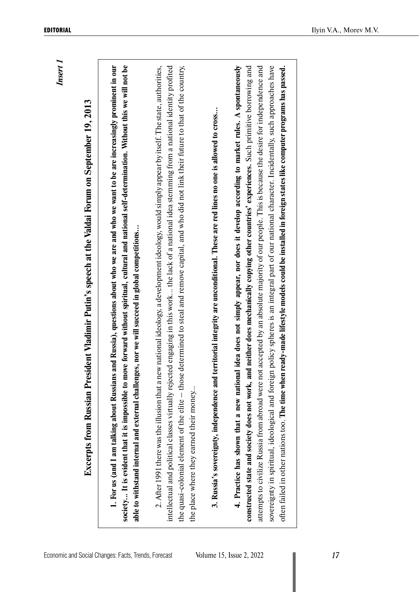| and Russia), questions about who we are and who we want to be are increasingly prominent in our<br>society It is evident that it is impossible to move forward without spiritual, cultural and national self-determination. Without this we will not be<br>Excerpts from Russian President Vladimir Putin's speech at the Valdai Forum on September 19, 2013 | determined to steal and remove capital, and who did not link their future to that of the country,<br>2. After 1991 there was the illusion that a new national ideology, a development ideology, would simply appear by itself. The state, authorities,<br>intellectual and political classes virtually rejected engaging in this work the lack of a national idea stemming from a national identity profited | 3. Russia's sovereignty, independence and territorial integrity are unconditional. These are red lines no one is allowed to cross | 4. Practice has shown that a new national idea does not simply appear, nor does it develop according to market rules. A spontaneously<br>attempts to civilize Russia from abroad were not accepted by an absolute majority of our people. This is because the desire for independence and<br>policy spheres is an integral part of our national character. Incidentally, such approaches have<br>d neither does mechanically copying other countries' experiences. Such primitive borrowing and<br>ready-made lifestyle models could be installed in foreign states like computer programs has passed. |
|--------------------------------------------------------------------------------------------------------------------------------------------------------------------------------------------------------------------------------------------------------------------------------------------------------------------------------------------------------------|--------------------------------------------------------------------------------------------------------------------------------------------------------------------------------------------------------------------------------------------------------------------------------------------------------------------------------------------------------------------------------------------------------------|-----------------------------------------------------------------------------------------------------------------------------------|--------------------------------------------------------------------------------------------------------------------------------------------------------------------------------------------------------------------------------------------------------------------------------------------------------------------------------------------------------------------------------------------------------------------------------------------------------------------------------------------------------------------------------------------------------------------------------------------------------|
| able to withstand internal and external challenges, nor we will succeed in global competitions<br>1. For us (and I am talking about Russians                                                                                                                                                                                                                 | the quasi-colonial element of the elite - those<br>the place where they earned their money                                                                                                                                                                                                                                                                                                                   |                                                                                                                                   | sovereignty in spiritual, ideological and foreign<br>constructed state and society does not work, an<br>often failed in other nations too. The time when                                                                                                                                                                                                                                                                                                                                                                                                                                               |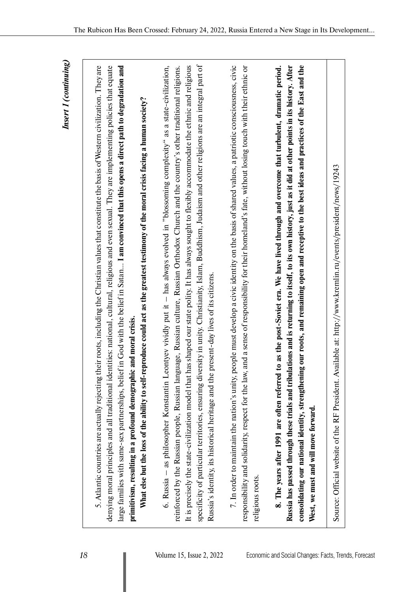Insert 1 (continuing) *Insert 1 (continuing)*

| 5. Atlantic countries are actually rejecting their roots, including the Christian values that constitute the basis of Western civilization. They are<br>denying moral principles and all traditional identities: national, cultural, religious and even sexual. They are implementing policies that equate                                                                                                                                                                                                                                                                                                                                                                                       |  |
|--------------------------------------------------------------------------------------------------------------------------------------------------------------------------------------------------------------------------------------------------------------------------------------------------------------------------------------------------------------------------------------------------------------------------------------------------------------------------------------------------------------------------------------------------------------------------------------------------------------------------------------------------------------------------------------------------|--|
| large families with same-sex partnerships, belief in God with the belief in Satan I am convinced that this opens a direct path to degradation and<br>What else but the loss of the ability to self-reproduce could act as the greatest testimony of the moral crisis facing a human society?<br>and moral crisis.<br>primitivism, resulting in a profound demographic                                                                                                                                                                                                                                                                                                                            |  |
| specificity of particular territories, ensuring diversity in unity. Christianity, Islam, Buddhism, Judaism and other religions are an integral part of<br>It is precisely the state-civilization model that has shaped our state polity. It has always sought to flexibly accommodate the ethnic and religious<br>6. Russia – as philosopher Konstantin Leontyev vividly put it – has always evolved in "blossoming complexity" as a state-civilization,<br>reinforced by the Russian people, Russian language, Russian culture, Russian Orthodox Church and the country's other traditional religions.<br>Russia's identity, its historical heritage and the present-day lives of its citizens. |  |
| 7. In order to maintain the nation's unity, people must develop a civic identity on the basis of shared values, a patriotic consciousness, civic<br>and a sense of responsibility for their homeland's fate, without losing touch with their ethnic or<br>responsibility and solidarity, respect for the law,<br>religious roots.                                                                                                                                                                                                                                                                                                                                                                |  |
| g our roots, and remaining open and receptive to the best ideas and practices of the East and the<br>lations and is returning to itself, to its own history, just as it did at other points in its history. After<br>to as the post-Soviet era. We have lived through and overcome that turbulent, dramatic period.<br>Russia has passed through these trials and tribul<br>consolidating our national identity, strengthenin<br>8. The years after 1991 are often referred<br>West, we must and will move forward.                                                                                                                                                                              |  |
| Source: Official website of the RF President. Available at: http://www.kremlin.ru/events/president/news/19243                                                                                                                                                                                                                                                                                                                                                                                                                                                                                                                                                                                    |  |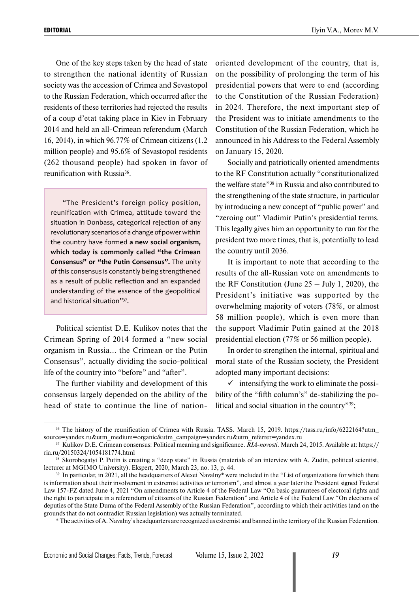One of the key steps taken by the head of state to strengthen the national identity of Russian society was the accession of Crimea and Sevastopol to the Russian Federation, which occurred after the residents of these territories had rejected the results of a coup d'etat taking place in Kiev in February 2014 and held an all-Crimean referendum (March 16, 2014), in which 96.77% of Crimean citizens (1.2 million people) and 95.6% of Sevastopol residents (262 thousand people) had spoken in favor of reunification with Russia<sup>36</sup>.

"The President's foreign policy position, reunification with Crimea, attitude toward the situation in Donbass, categorical rejection of any revolutionary scenarios of a change of power within the country have formed **a new social organism, which today is commonly called "the Crimean Consensus" or "the Putin Consensus".** The unity of this consensus is constantly being strengthened as a result of public reflection and an expanded understanding of the essence of the geopolitical and historical situation"37.

Political scientist D.E. Kulikov notes that the Crimean Spring of 2014 formed a "new social organism in Russia... the Crimean or the Putin Consensus", actually dividing the socio-political life of the country into "before" and "after".

The further viability and development of this consensus largely depended on the ability of the head of state to continue the line of nationoriented development of the country, that is, on the possibility of prolonging the term of his presidential powers that were to end (according to the Constitution of the Russian Federation) in 2024. Therefore, the next important step of the President was to initiate amendments to the Constitution of the Russian Federation, which he announced in his Address to the Federal Assembly on January 15, 2020.

Socially and patriotically oriented amendments to the RF Constitution actually "constitutionalized the welfare state"38 in Russia and also contributed to the strengthening of the state structure, in particular by introducing a new concept of "public power" and "zeroing out" Vladimir Putin's presidential terms. This legally gives him an opportunity to run for the president two more times, that is, potentially to lead the country until 2036.

It is important to note that according to the results of the all-Russian vote on amendments to the RF Constitution (June  $25 -$  July 1, 2020), the President's initiative was supported by the overwhelming majority of voters (78%, or almost 58 million people), which is even more than the support Vladimir Putin gained at the 2018 presidential election (77% or 56 million people).

In order to strengthen the internal, spiritual and moral state of the Russian society, the President adopted many important decisions:

 $\checkmark$  intensifying the work to eliminate the possibility of the "fifth column's" de-stabilizing the political and social situation in the country"39;

<sup>&</sup>lt;sup>36</sup> The history of the reunification of Crimea with Russia. TASS. March 15, 2019. https://tass.ru/info/6222164?utm source=yandex.ru&utm\_medium=organic&utm\_campaign=yandex.ru&utm\_referrer=yandex.ru

<sup>37</sup> Kulikov D.E. Crimean consensus: Political meaning and significance. *RIA-novosti*. March 24, 2015. Available at: https:// ria.ru/20150324/1054181774.html

<sup>38</sup> Skorobogatyi P. Putin is creating a "deep state" in Russia (materials of an interview with A. Zudin, political scientist, lecturer at MGIMO University). Ekspert, 2020, March 23, no. 13, p. 44.

<sup>&</sup>lt;sup>39</sup> In particular, in 2021, all the headquarters of Alexei Navalny<sup>\*</sup> were included in the "List of organizations for which there is information about their involvement in extremist activities or terrorism", and almost a year later the President signed Federal Law 157-FZ dated June 4, 2021 "On amendments to Article 4 of the Federal Law "On basic guarantees of electoral rights and the right to participate in a referendum of citizens of the Russian Federation" and Article 4 of the Federal Law "On elections of deputies of the State Duma of the Federal Assembly of the Russian Federation", according to which their activities (and on the grounds that do not contradict Russian legislation) was actually terminated.

<sup>\*</sup> The activities of A. Navalny's headquarters are recognized as extremist and banned in the territory of the Russian Federation.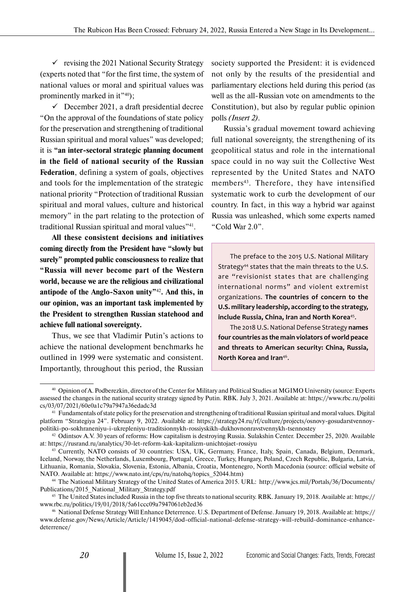$\checkmark$  revising the 2021 National Security Strategy (experts noted that "for the first time, the system of national values or moral and spiritual values was prominently marked in it"<sup>40</sup>);

 $\checkmark$  December 2021, a draft presidential decree "On the approval of the foundations of state policy for the preservation and strengthening of traditional Russian spiritual and moral values" was developed; it is **"an inter-sectoral strategic planning document in the field of national security of the Russian Federation**, defining a system of goals, objectives and tools for the implementation of the strategic national priority "Protection of traditional Russian spiritual and moral values, culture and historical memory" in the part relating to the protection of traditional Russian spiritual and moral values"<sup>41</sup>.

**All these consistent decisions and initiatives coming directly from the President have "slowly but surely" prompted public consciousness to realize that "Russia will never become part of the Western world, because we are the religious and civilizational antipode of the Anglo-Saxon unity"**42**. And this, in our opinion, was an important task implemented by the President to strengthen Russian statehood and achieve full national sovereignty.**

Thus, we see that Vladimir Putin's actions to achieve the national development benchmarks he outlined in 1999 were systematic and consistent. Importantly, throughout this period, the Russian

society supported the President: it is evidenced not only by the results of the presidential and parliamentary elections held during this period (as well as the all-Russian vote on amendments to the Constitution), but also by regular public opinion polls *(Insert 2)*.

Russia's gradual movement toward achieving full national sovereignty, the strengthening of its geopolitical status and role in the international space could in no way suit the Collective West represented by the United States and NATO members<sup>43</sup>. Therefore, they have intensified systematic work to curb the development of our country. In fact, in this way a hybrid war against Russia was unleashed, which some experts named "Cold War 2.0".

The preface to the 2015 U.S. National Military Strategy<sup>44</sup> states that the main threats to the U.S. are "revisionist states that are challenging international norms" and violent extremist organizations. **The countries of concern to the U.S. military leadership, according to the strategy, include Russia, China, Iran and North Korea**45.

The 2018 U.S. National Defense Strategy **names four countries as the main violators of world peace and threats to American security: China, Russia, North Korea and Iran**46.

<sup>40</sup> Opinion of A. Podberezkin, director of the Center for Military and Political Studies at MGIMO University (source: Experts assessed the changes in the national security strategy signed by Putin. RBK. July 3, 2021. Available at: https://www.rbc.ru/politi cs/03/07/2021/60e0a1c79a7947a36edadc3d

<sup>&</sup>lt;sup>41</sup> Fundamentals of state policy for the preservation and strengthening of traditional Russian spiritual and moral values. Digital platform "Strategiya 24". February 9, 2022. Available at: https://strategy24.ru/rf/culture/projects/osnovy-gosudarstvennoypolitiki-po-sokhraneniyu-i-ukrepleniyu-traditsionnykh-rossiyskikh-dukhovnonravstvennykh-tsennostey

<sup>42</sup> Odintsov A.V. 30 years of reforms: How capitalism is destroying Russia. Sulakshin Center. December 25, 2020. Available at: https://rusrand.ru/analytics/30-let-reform-kak-kapitalizm-unichtojaet-rossiyu

<sup>43</sup> Currently, NATO consists of 30 countries: USA, UK, Germany, France, Italy, Spain, Canada, Belgium, Denmark, Iceland, Norway, the Netherlands, Luxembourg, Portugal, Greece, Turkey, Hungary, Poland, Czech Republic, Bulgaria, Latvia, Lithuania, Romania, Slovakia, Slovenia, Estonia, Albania, Croatia, Montenegro, North Macedonia (source: official website of NATO. Available at: https://www.nato.int/cps/ru/natohq/topics\_52044.htm)

<sup>44</sup> The National Military Strategy of the United States of America 2015. URL: http://www.jcs.mil/Portals/36/Documents/ Publications/2015\_National\_Military\_Strategy.pdf

<sup>45</sup> The United States included Russia in the top five threats to national security. RBK. January 19, 2018. Available at: https:// www.rbc.ru/politics/19/01/2018/5a61ccc09a7947061eb2ed36

<sup>46</sup> National Defense Strategy Will Enhance Deterrence. U.S. Department of Defense. January 19, 2018. Available at: https:// www.defense.gov/News/Article/Article/1419045/dod-official-national-defense-strategy-will-rebuild-dominance-enhancedeterrence/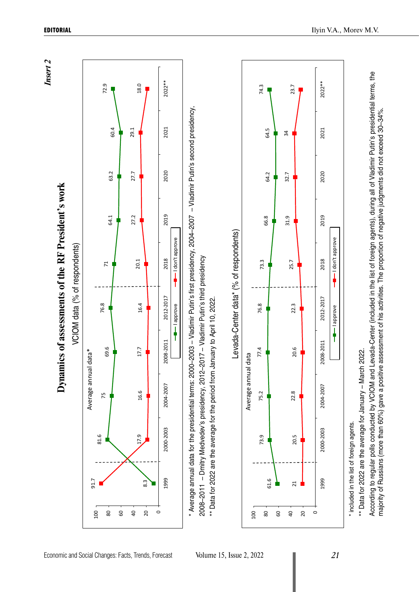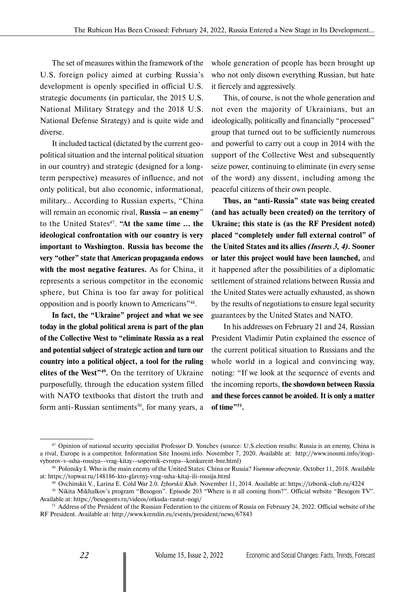The set of measures within the framework of the U.S. foreign policy aimed at curbing Russia's development is openly specified in official U.S. strategic documents (in particular, the 2015 U.S. National Military Strategy and the 2018 U.S. National Defense Strategy) and is quite wide and diverse.

It included tactical (dictated by the current geopolitical situation and the internal political situation in our country) and strategic (designed for a longterm perspective) measures of influence, and not only political, but also economic, informational, military… According to Russian experts, "China will remain an economic rival, **Russia – an enemy**" to the United States<sup>47</sup>. "At the same time ... the **ideological confrontation with our country is very important to Washington. Russia has become the very "other" state that American propaganda endows with the most negative features.** As for China, it represents a serious competitor in the economic sphere, but China is too far away for political opposition and is poorly known to Americans"48.

**In fact, the "Ukraine" project and what we see today in the global political arena is part of the plan of the Collective West to "eliminate Russia as a real and potential subject of strategic action and turn our country into a political object, a tool for the ruling elites of the West"49.** On the territory of Ukraine purposefully, through the education system filled with NATO textbooks that distort the truth and form anti-Russian sentiments<sup>50</sup>, for many years, a whole generation of people has been brought up who not only disown everything Russian, but hate it fiercely and aggressively.

This, of course, is not the whole generation and not even the majority of Ukrainians, but an ideologically, politically and financially "processed" group that turned out to be sufficiently numerous and powerful to carry out a coup in 2014 with the support of the Collective West and subsequently seize power, continuing to eliminate (in every sense of the word) any dissent, including among the peaceful citizens of their own people.

**Thus, an "anti-Russia" state was being created (and has actually been created) on the territory of Ukraine; this state is (as the RF President noted) placed "completely under full external control" of the United States and its allies** *(Inserts 3, 4)***. Sooner or later this project would have been launched,** and it happened after the possibilities of a diplomatic settlement of strained relations between Russia and the United States were actually exhausted, as shown by the results of negotiations to ensure legal security guarantees by the United States and NATO.

In his addresses on February 21 and 24, Russian President Vladimir Putin explained the essence of the current political situation to Russians and the whole world in a logical and convincing way, noting: "If we look at the sequence of events and the incoming reports, **the showdown between Russia and these forces cannot be avoided. It is only a matter of time"51.**

<sup>47</sup> Opinion of national security specialist Professor D. Yonchev (source: U.S.election results: Russia is an enemy, China is a rival, Europe is a competitor. Information Site Inosmi.info. November 7, 2020. Available at: http://www.inosmi.info/itogivyborov-v-ssha-rossiya--vrag-kitay--sopernik-evropa--konkurent-bnr.html)

<sup>48</sup> Polonsky I. Who is the main enemy of the United States: China or Russia? *Voennoe obozrenie*. October 11, 2018. Available at: https://topwar.ru/148186-kto-glavnyj-vrag-ssha-kitaj-ili-rossija.html

<sup>49</sup> Ovchinskii V., Larina E. Cold War 2.0. *Izborskii Klub*. November 11, 2014. Available at: https://izborsk-club.ru/4224

<sup>50</sup> Nikita Mikhalkov's program "Besogon". Episode 203 "Where is it all coming from?". Official website "Besogon TV". Available at: https://besogontv.ru/videos/otkuda-rastut-nogi/

<sup>&</sup>lt;sup>51</sup> Address of the President of the Russian Federation to the citizens of Russia on February 24, 2022. Official website of the RF President. Available at: http://www.kremlin.ru/events/president/news/67843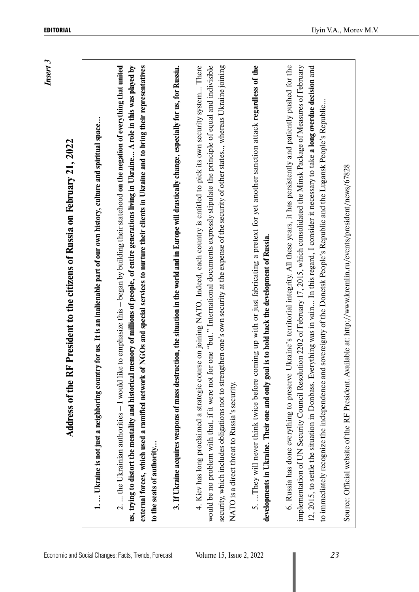| Insert |  |  |
|--------|--|--|
|        |  |  |
|        |  |  |
|        |  |  |
|        |  |  |
|        |  |  |
|        |  |  |

| $\frac{1}{2}$                                                                  |  |
|--------------------------------------------------------------------------------|--|
|                                                                                |  |
|                                                                                |  |
|                                                                                |  |
|                                                                                |  |
| ֖֖֖ׅ֖ׅ֖ׅ֖֧ׅ֖֧֪֪ׅ֖֧֧֧֧֚֚֚֚֚֚֚֚֚֚֚֚֚֚֚֚֚֚֚֚֚֚֚֚֚֚֬֝֝֝֝֝֝֝֓֞֝֓֞֞֝֓֞֞֝֬֞֝֞֞֝֬֝֓֞֝֬ |  |
|                                                                                |  |
|                                                                                |  |
| $\frac{1}{2}$                                                                  |  |
|                                                                                |  |
|                                                                                |  |
|                                                                                |  |
|                                                                                |  |
|                                                                                |  |
|                                                                                |  |
|                                                                                |  |
|                                                                                |  |
|                                                                                |  |
|                                                                                |  |
|                                                                                |  |
|                                                                                |  |
|                                                                                |  |
|                                                                                |  |
|                                                                                |  |
|                                                                                |  |
|                                                                                |  |
|                                                                                |  |
|                                                                                |  |
|                                                                                |  |
|                                                                                |  |
|                                                                                |  |
|                                                                                |  |
|                                                                                |  |
|                                                                                |  |
|                                                                                |  |
|                                                                                |  |
|                                                                                |  |
|                                                                                |  |
|                                                                                |  |
|                                                                                |  |
|                                                                                |  |
|                                                                                |  |
|                                                                                |  |
|                                                                                |  |
|                                                                                |  |
|                                                                                |  |
|                                                                                |  |
| <b>President to the citizens of Russia on Februa.</b><br>$\overline{1}$        |  |
|                                                                                |  |
| י<br>ו                                                                         |  |
|                                                                                |  |
|                                                                                |  |
|                                                                                |  |
|                                                                                |  |
|                                                                                |  |
|                                                                                |  |
| dress of the RH Preside<br><b>THE CONSTRUCTION</b>                             |  |
|                                                                                |  |
|                                                                                |  |
|                                                                                |  |
|                                                                                |  |
|                                                                                |  |
|                                                                                |  |
|                                                                                |  |
|                                                                                |  |
| ֪֚֡֬֝֬֝֬֝֬֝֬֝֬֝                                                                |  |

3. The United States of the RF President to the dilatos of Rosks on February 21, 2022<br>
1.... United to start a registerate country for as it is a instanted part of our own haves, cultural space...<br>
2. the Ultarian authori

Source: Official website of the RF President. Available at: http://www.kremlin.ru/events/president/news/67828 Source: Official website of the RF President. Available at: http://www.kremlin.ru/events/president/news/67828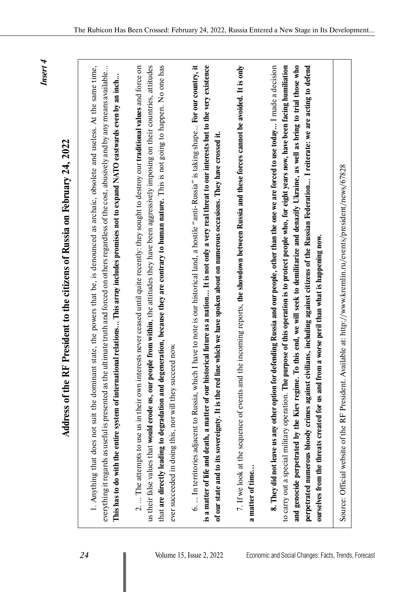*Insert 4*

| 1. Anything that does not suit the dominant state, the powers that be, is denounced as archaic, obsolete and useless. At the same time,<br>everything it regards as useful is presented as the ultimate truth and forced on others regardless of the cost, abusively and by any means available<br>This has to do with the entire system of international relations This array includes promises not to expand NATO eastwards even by an inch                                                                                                                                                                                                                                                                                |  |
|------------------------------------------------------------------------------------------------------------------------------------------------------------------------------------------------------------------------------------------------------------------------------------------------------------------------------------------------------------------------------------------------------------------------------------------------------------------------------------------------------------------------------------------------------------------------------------------------------------------------------------------------------------------------------------------------------------------------------|--|
| that are directly leading to degradation and degeneration, because they are contrary to human nature. This is not going to happen. No one has<br>us their false values that would erode us, our people from within, the attitudes they have been aggressively imposing on their countries, attitudes<br>2.  The attempts to use us in their own interests never ceased until quite recently: they sought to destroy our traditional values and force on<br>ever succeeded in doing this, nor will they succeed now.                                                                                                                                                                                                          |  |
| 6.  In territories adjacent to Russia, which I have to note is our historical land, a hostile "anti-Russia" is taking shape For our country, it<br>is a matter of life and death, a matter of our historical future as a nation It is not only a very real threat to our interests but to the very existence<br>line which we have spoken about on numerous occasions. They have crossed it.<br>of our state and to its sovereignty. It is the red                                                                                                                                                                                                                                                                           |  |
| the incoming reports, the showdown between Russia and these forces cannot be avoided. It is only<br>7. If we look at the sequence of events and<br>a matter of time                                                                                                                                                                                                                                                                                                                                                                                                                                                                                                                                                          |  |
| purpose of this operation is to protect people who, for eight years now, have been facing humiliation<br>To this end, we will seek to demilitarize and denazify Ukraine, as well as bring to trial those who<br>defending Russia and our people, other than the one we are forced to use today I made a decision<br>perpetrated numerous bloody crimes against civilians, including against citizens of the Russian Federation I reiterate: we are acting to defend<br>ourselves from the threats created for us and from a worse peril than what is happening now.<br>8. They did not leave us any other option for<br>to carry out a special military operation. The $\mu$<br>and genocide perpetrated by the Kiev regime. |  |
|                                                                                                                                                                                                                                                                                                                                                                                                                                                                                                                                                                                                                                                                                                                              |  |

**Address of the RF President to the citizens of Russia on February 24, 2022**

Address of the RF President to the citizens of Russia on February 24, 2022

Source: Official website of the RF President. Available at: http://www.kremlin.ru/events/president/news/67828

Source: Official website of the RF President. Available at: http://www.kremlin.ru/events/president/news/67828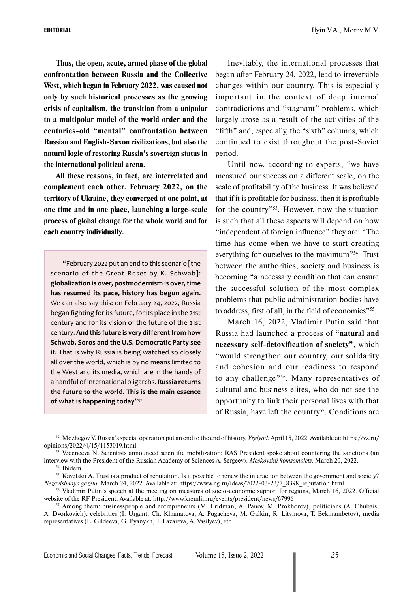**Thus, the open, acute, armed phase of the global confrontation between Russia and the Collective West, which began in February 2022, was caused not only by such historical processes as the growing crisis of capitalism, the transition from a unipolar to a multipolar model of the world order and the centuries-old "mental" confrontation between Russian and English-Saxon civilizations, but also the natural logic of restoring Russia's sovereign status in the international political arena.**

**All these reasons, in fact, are interrelated and complement each other. February 2022, on the territory of Ukraine, they converged at one point, at one time and in one place, launching a large-scale process of global change for the whole world and for each country individually.** 

"February 2022 put an end to this scenario [the scenario of the Great Reset by K. Schwab]: **globalization is over, postmodernism is over, time has resumed its pace, history has begun again.** We can also say this: on February 24, 2022, Russia began fighting for its future, for its place in the 21st century and for its vision of the future of the 21st century. **And this future is very different from how Schwab, Soros and the U.S. Democratic Party see it.** That is why Russia is being watched so closely all over the world, which is by no means limited to the West and its media, which are in the hands of a handful of international oligarchs. **Russia returns the future to the world. This is the main essence of what is happening today"**52.

Inevitably, the international processes that began after February 24, 2022, lead to irreversible changes within our country. This is especially important in the context of deep internal contradictions and "stagnant" problems, which largely arose as a result of the activities of the "fifth" and, especially, the "sixth" columns, which continued to exist throughout the post-Soviet period.

Until now, according to experts, "we have measured our success on a different scale, on the scale of profitability of the business. It was believed that if it is profitable for business, then it is profitable for the country"53. However, now the situation is such that all these aspects will depend on how "independent of foreign influence" they are: "The time has come when we have to start creating everything for ourselves to the maximum"54. Trust between the authorities, society and business is becoming "a necessary condition that can ensure the successful solution of the most complex problems that public administration bodies have to address, first of all, in the field of economics"<sup>55</sup>.

March 16, 2022, Vladimir Putin said that Russia had launched a process of **"natural and necessary self-detoxification of society"**, which "would strengthen our country, our solidarity and cohesion and our readiness to respond to any challenge"<sup>56</sup>. Many representatives of cultural and business elites, who do not see the opportunity to link their personal lives with that of Russia, have left the country<sup>57</sup>. Conditions are

<sup>52</sup> Mozhegov V. Russia's special operation put an end to the end of history. *Vzglyad*. April 15, 2022. Available at: https://vz.ru/ opinions/2022/4/15/1153019.html

<sup>53</sup> Vedeneeva N. Scientists announced scientific mobilization: RAS President spoke about countering the sanctions (an interview with the President of the Russian Academy of Sciences A. Sergeev). *Moskovskii komsomolets.* March 20, 2022. <sup>54</sup> Ibidem.

<sup>&</sup>lt;sup>55</sup> Kavetskii A. Trust is a product of reputation. Is it possible to renew the interaction between the government and society? *Nezavisimaya gazeta.* March 24, 2022. Available at: https://www.ng.ru/ideas/2022-03-23/7\_8398\_reputation.html

<sup>56</sup> Vladimir Putin's speech at the meeting on measures of socio-economic support for regions, March 16, 2022. Official website of the RF President. Available at: http://www.kremlin.ru/events/president/news/67996

<sup>57</sup> Among them: businesspeople and entrepreneurs (M. Fridman, A. Panov, M. Prokhorov), politicians (A. Chubais, A. Dvorkovich), celebrities (I. Urgant, Ch. Khamatova, A. Pugacheva, M. Galkin, R. Litvinova, T. Bekmambetov), media representatives (L. Gildeeva, G. Pyanykh, T. Lazareva, A. Vasilyev), etc.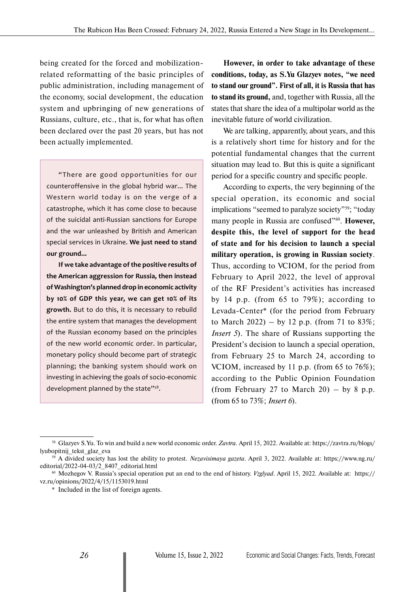being created for the forced and mobilizationrelated reformatting of the basic principles of public administration, including management of the economy, social development, the education system and upbringing of new generations of Russians, culture, etc., that is, for what has often been declared over the past 20 years, but has not been actually implemented.

"There are good opportunities for our counteroffensive in the global hybrid war... The Western world today is on the verge of a catastrophe, which it has come close to because of the suicidal anti-Russian sanctions for Europe and the war unleashed by British and American special services in Ukraine. **We just need to stand our ground...**

**If we take advantage of the positive results of the American aggression for Russia, then instead of Washington's planned drop in economic activity by 10% of GDP this year, we can get 10% of its growth.** But to do this, it is necessary to rebuild the entire system that manages the development of the Russian economy based on the principles of the new world economic order. In particular, monetary policy should become part of strategic planning; the banking system should work on investing in achieving the goals of socio-economic development planned by the state"<sup>58</sup>.

**However, in order to take advantage of these conditions, today, as S.Yu Glazyev notes, "we need to stand our ground". First of all, it is Russia that has to stand its ground,** and, together with Russia, all the states that share the idea of a multipolar world as the inevitable future of world civilization.

We are talking, apparently, about years, and this is a relatively short time for history and for the potential fundamental changes that the current situation may lead to. But this is quite a significant period for a specific country and specific people.

According to experts, the very beginning of the special operation, its economic and social implications "seemed to paralyze society"59; "today many people in Russia are confused<sup>"60</sup>. However, **despite this, the level of support for the head of state and for his decision to launch a special military operation, is growing in Russian society**. Thus, according to VCIOM, for the period from February to April 2022, the level of approval of the RF President's activities has increased by 14 p.p. (from 65 to 79%); according to Levada-Center\* (for the period from February to March 2022) – by 12 p.p. (from 71 to 83%; *Insert 5*). The share of Russians supporting the President's decision to launch a special operation, from February 25 to March 24, according to VCIOM, increased by 11 p.p. (from 65 to 76%); according to the Public Opinion Foundation (from February 27 to March 20) – by 8 p.p. (from 65 to 73%; *Insert 6*).

<sup>58</sup> Glazyev S.Yu. To win and build a new world economic order. *Zavtra.* April 15, 2022. Available at: https://zavtra.ru/blogs/ lyubopitnij\_tekst\_glaz\_eva

<sup>59</sup> A divided society has lost the ability to protest. *Nezavisimaya gazeta*. April 3, 2022. Available at: https://www.ng.ru/ editorial/2022-04-03/2\_8407\_editorial.html

<sup>60</sup> Mozhegov V. Russia's special operation put an end to the end of history. *Vzglyad*. April 15, 2022. Available at: https:// vz.ru/opinions/2022/4/15/1153019.html

<sup>\*</sup> Included in the list of foreign agents.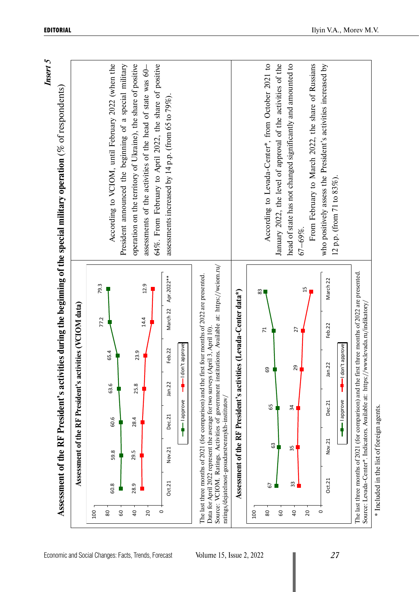|                                      | According to VCIOM, until February 2022 (when the | operation on the territory of Ukraine), the share of positive<br>President announced the beginning of a special military<br>assessments of the activities of the head of state was 60- | 64%. From February to April 2022, the share of positive<br>assessments increased by 14 p.p. (from 65 to 79%). |                                                                                                                                                                                                   |                                           | According to Levada-Center*, from October 2021 to<br>head of state has not changed significantly and amounted to<br>From February to March 2022, the share of Russians<br>January 2022, the level of approval of the activities of the<br>who positively assess the President's activities increased by<br>$12$ p.p. (from 71 to $83\%$ ).<br>67–69%. |
|--------------------------------------|---------------------------------------------------|----------------------------------------------------------------------------------------------------------------------------------------------------------------------------------------|---------------------------------------------------------------------------------------------------------------|---------------------------------------------------------------------------------------------------------------------------------------------------------------------------------------------------|-------------------------------------------|-------------------------------------------------------------------------------------------------------------------------------------------------------------------------------------------------------------------------------------------------------------------------------------------------------------------------------------------------------|
| ivities (VCIOM data)                 | 79.3<br>77.2                                      | 12.9<br>14.4                                                                                                                                                                           | Apr.2022 **<br>March 22                                                                                       | Source: VCIOM. Ratings. Activities of government institutions. Available at: https://wciom.ru/<br>The last three months of 2021 (for comparison) and the first four months of 2022 are presented. | es (Levada-Center data*)                  | The last three months of 2021 (for comparison) and the first three months of 2022 are presented.<br>March 22<br>15<br>83<br>Feb.22<br>27<br>$\overline{z}$                                                                                                                                                                                            |
|                                      | 65.4                                              | 23.9                                                                                                                                                                                   | -I don't approve<br>Feb.22                                                                                    | Data for April 2022 represent the average for two surveys (April 3, April 10)                                                                                                                     |                                           | -I don't approve<br>Jan.22<br>29<br>69                                                                                                                                                                                                                                                                                                                |
| Assessment of the RF President's act | 63.6                                              | 25.8                                                                                                                                                                                   | Jan.22                                                                                                        |                                                                                                                                                                                                   | Assessment of the RF President's activiti | Dec.21<br>65<br>34                                                                                                                                                                                                                                                                                                                                    |
|                                      | 60.6                                              | 28.4                                                                                                                                                                                   | - lapprove<br>Dec.21                                                                                          |                                                                                                                                                                                                   |                                           | approve                                                                                                                                                                                                                                                                                                                                               |
|                                      | 59.8                                              | 29.5                                                                                                                                                                                   | Nov.21                                                                                                        |                                                                                                                                                                                                   |                                           | Nov.21<br>$\mathbb{S}^3$<br>35                                                                                                                                                                                                                                                                                                                        |
|                                      | 60.8                                              | 28.9                                                                                                                                                                                   | Oct.21                                                                                                        | ratings/dejatelnost-gosudarstvennykh-institutov/                                                                                                                                                  |                                           | Oct.21<br>33<br>67                                                                                                                                                                                                                                                                                                                                    |
|                                      | 80<br>100<br>60                                   | $\overline{a}$<br>20                                                                                                                                                                   | $\circ$                                                                                                       |                                                                                                                                                                                                   |                                           | 20<br>$\circ$<br>$80\,$<br>60<br>$_{\rm 00}$<br>$\overline{4}$                                                                                                                                                                                                                                                                                        |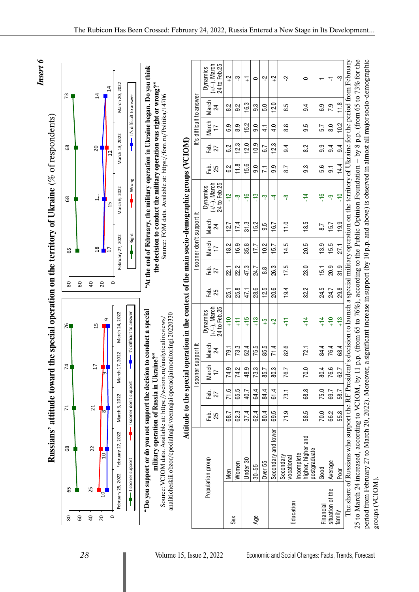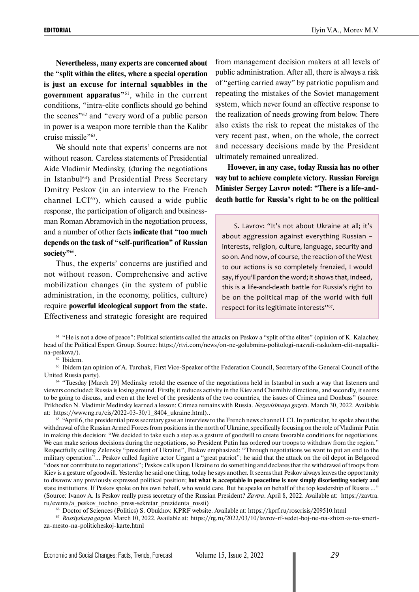**Nevertheless, many experts are concerned about the "split within the elites, where a special operation is just an excuse for internal squabbles in the government apparatus"**61, while in the current conditions, "intra-elite conflicts should go behind the scenes"62 and "every word of a public person in power is a weapon more terrible than the Kalibr cruise missile"63.

We should note that experts' concerns are not without reason. Careless statements of Presidential Aide Vladimir Medinsky, (during the negotiations in Istanbul64) and Presidential Press Secretary Dmitry Peskov (in an interview to the French channel  $LCI<sup>65</sup>$ , which caused a wide public response, the participation of oligarch and businessman Roman Abramovich in the negotiation process, and a number of other facts **indicate that "too much depends on the task of "self-purification" of Russian society"**66.

Thus, the experts' concerns are justified and not without reason. Comprehensive and active mobilization changes (in the system of public administration, in the economy, politics, culture) require **powerful ideological support from the state.**  Effectiveness and strategic foresight are required from management decision makers at all levels of public administration. After all, there is always a risk of "getting carried away" by patriotic populism and repeating the mistakes of the Soviet management system, which never found an effective response to the realization of needs growing from below. There also exists the risk to repeat the mistakes of the very recent past, when, on the whole, the correct and necessary decisions made by the President ultimately remained unrealized.

**However, in any case, today Russia has no other way but to achieve complete victory. Russian Foreign Minister Sergey Lavrov noted: "There is a life-anddeath battle for Russia's right to be on the political** 

S. Lavrov: "It's not about Ukraine at all; it's about aggression against everything Russian – interests, religion, culture, language, security and so on. And now, of course, the reaction of the West to our actions is so completely frenzied, I would say, if you'll pardon the word; it shows that, indeed, this is a life-and-death battle for Russia's right to be on the political map of the world with full respect for its legitimate interests"<sup>67</sup>.

 $61$  "He is not a dove of peace": Political scientists called the attacks on Peskov a "split of the elites" (opinion of K. Kalachev, head of the Political Expert Group. Source: https://rtvi.com/news/on-ne-golubmira-politologi-nazvali-raskolom-elit-napadkina-peskova/).

<sup>62</sup> Ibidem.

 $63$  Ibidem (an opinion of A. Turchak, First Vice-Speaker of the Federation Council, Secretary of the General Council of the United Russia party).

<sup>64</sup> "Tuesday [March 29] Medinsky retold the essence of the negotiations held in Istanbul in such a way that listeners and viewers concluded: Russia is losing ground. Firstly, it reduces activity in the Kiev and Chernihiv directions, and secondly, it seems to be going to discuss, and even at the level of the presidents of the two countries, the issues of Crimea and Donbass" (source: Prikhodko N. Vladimir Medinsky learned a lesson: Crimea remains with Russia. *Nezavisimaya gazet*a. March 30, 2022. Available at: https://www.ng.ru/cis/2022-03-30/1\_8404\_ukraine.html)..

 $65$  "April 6, the presidential press secretary gave an interview to the French news channel LCI. In particular, he spoke about the withdrawal of the Russian Armed Forces from positions in the north of Ukraine, specifically focusing on the role of Vladimir Putin in making this decision: "We decided to take such a step as a gesture of goodwill to create favorable conditions for negotiations. We can make serious decisions during the negotiations, so President Putin has ordered our troops to withdraw from the region." Respectfully calling Zelensky "president of Ukraine", Peskov emphasized: "Through negotiations we want to put an end to the military operation"... Peskov called fugitive actor Urgant a "great patriot"; he said that the attack on the oil depot in Belgorod "does not contribute to negotiations"; Peskov calls upon Ukraine to do something and declares that the withdrawal of troops from Kiev is a gesture of goodwill. Yesterday he said one thing, today he says another. It seems that Peskov always leaves the opportunity to disavow any previously expressed political position; **but what is acceptable in peacetime is now simply disorienting society and**  state institutions. If Peskov spoke on his own behalf, who would care. But he speaks on behalf of the top leadership of Russia ..." (Source: Ivanov A. Is Peskov really press secretary of the Russian President? *Zavtra*. April 8, 2022. Available at: https://zavtra. ru/events/a\_peskov\_tochno\_press-sekretar\_prezidenta\_rossii)

<sup>66</sup> Doctor of Sciences (Politics) S. Obukhov. KPRF website. Available at: https://kprf.ru/roscrisis/209510.html

<sup>67</sup> *Rossiyskaya gazeta*. March 10, 2022. Available at: https://rg.ru/2022/03/10/lavrov-rf-vedet-boj-ne-na-zhizn-a-na-smertza-mesto-na-politicheskoj-karte.html